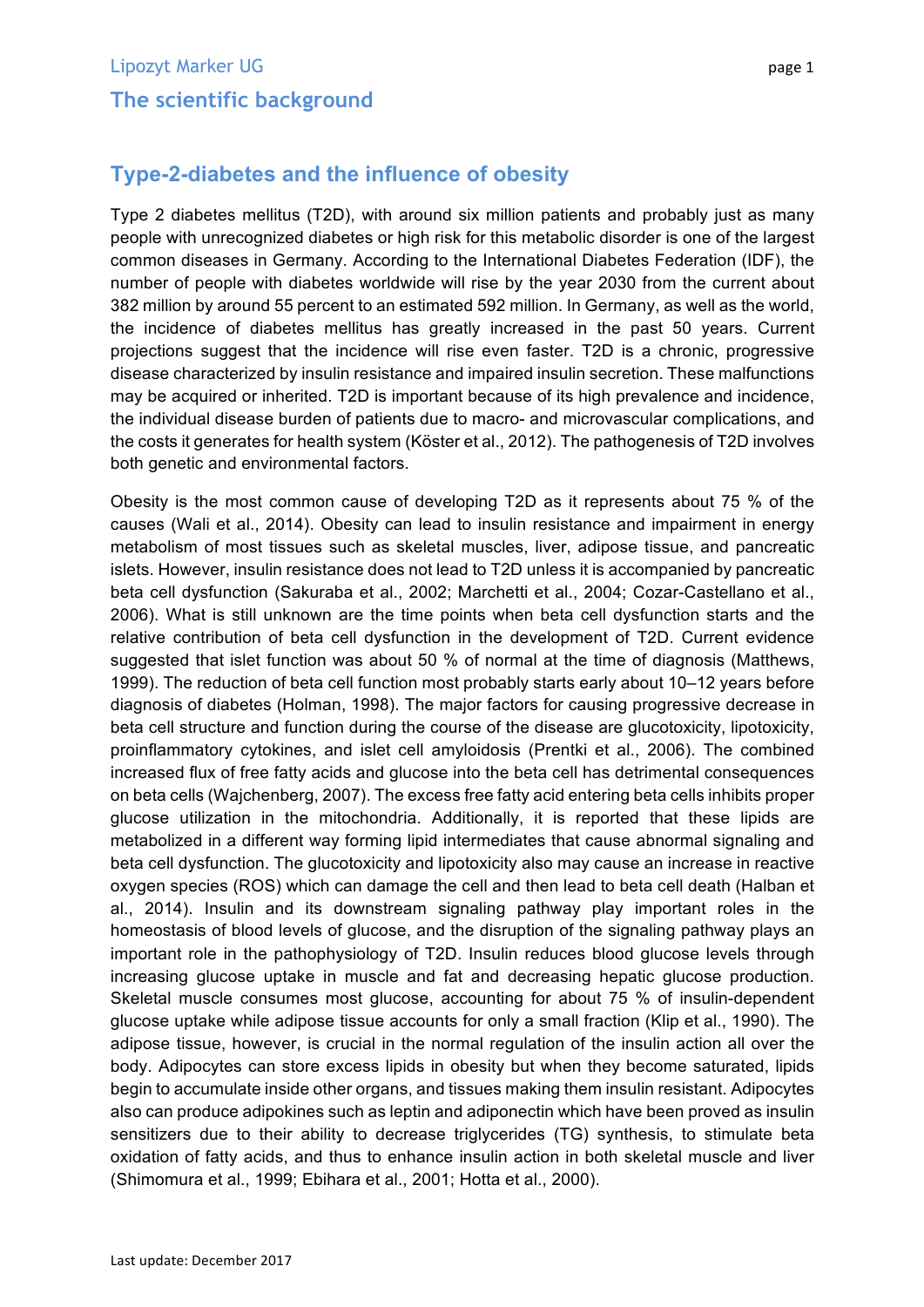## **Type-2-diabetes and the influence of obesity**

Type 2 diabetes mellitus (T2D), with around six million patients and probably just as many people with unrecognized diabetes or high risk for this metabolic disorder is one of the largest common diseases in Germany. According to the International Diabetes Federation (IDF), the number of people with diabetes worldwide will rise by the year 2030 from the current about 382 million by around 55 percent to an estimated 592 million. In Germany, as well as the world, the incidence of diabetes mellitus has greatly increased in the past 50 years. Current projections suggest that the incidence will rise even faster. T2D is a chronic, progressive disease characterized by insulin resistance and impaired insulin secretion. These malfunctions may be acquired or inherited. T2D is important because of its high prevalence and incidence, the individual disease burden of patients due to macro- and microvascular complications, and the costs it generates for health system (Köster et al., 2012). The pathogenesis of T2D involves both genetic and environmental factors.

Obesity is the most common cause of developing T2D as it represents about 75 % of the causes (Wali et al., 2014). Obesity can lead to insulin resistance and impairment in energy metabolism of most tissues such as skeletal muscles, liver, adipose tissue, and pancreatic islets. However, insulin resistance does not lead to T2D unless it is accompanied by pancreatic beta cell dysfunction (Sakuraba et al., 2002; Marchetti et al., 2004; Cozar-Castellano et al., 2006). What is still unknown are the time points when beta cell dysfunction starts and the relative contribution of beta cell dysfunction in the development of T2D. Current evidence suggested that islet function was about 50 % of normal at the time of diagnosis (Matthews, 1999). The reduction of beta cell function most probably starts early about 10–12 years before diagnosis of diabetes (Holman, 1998). The major factors for causing progressive decrease in beta cell structure and function during the course of the disease are glucotoxicity, lipotoxicity, proinflammatory cytokines, and islet cell amyloidosis (Prentki et al., 2006). The combined increased flux of free fatty acids and glucose into the beta cell has detrimental consequences on beta cells (Wajchenberg, 2007). The excess free fatty acid entering beta cells inhibits proper glucose utilization in the mitochondria. Additionally, it is reported that these lipids are metabolized in a different way forming lipid intermediates that cause abnormal signaling and beta cell dysfunction. The glucotoxicity and lipotoxicity also may cause an increase in reactive oxygen species (ROS) which can damage the cell and then lead to beta cell death (Halban et al., 2014). Insulin and its downstream signaling pathway play important roles in the homeostasis of blood levels of glucose, and the disruption of the signaling pathway plays an important role in the pathophysiology of T2D. Insulin reduces blood glucose levels through increasing glucose uptake in muscle and fat and decreasing hepatic glucose production. Skeletal muscle consumes most glucose, accounting for about 75 % of insulin-dependent glucose uptake while adipose tissue accounts for only a small fraction (Klip et al., 1990). The adipose tissue, however, is crucial in the normal regulation of the insulin action all over the body. Adipocytes can store excess lipids in obesity but when they become saturated, lipids begin to accumulate inside other organs, and tissues making them insulin resistant. Adipocytes also can produce adipokines such as leptin and adiponectin which have been proved as insulin sensitizers due to their ability to decrease triglycerides (TG) synthesis, to stimulate beta oxidation of fatty acids, and thus to enhance insulin action in both skeletal muscle and liver (Shimomura et al., 1999; Ebihara et al., 2001; Hotta et al., 2000).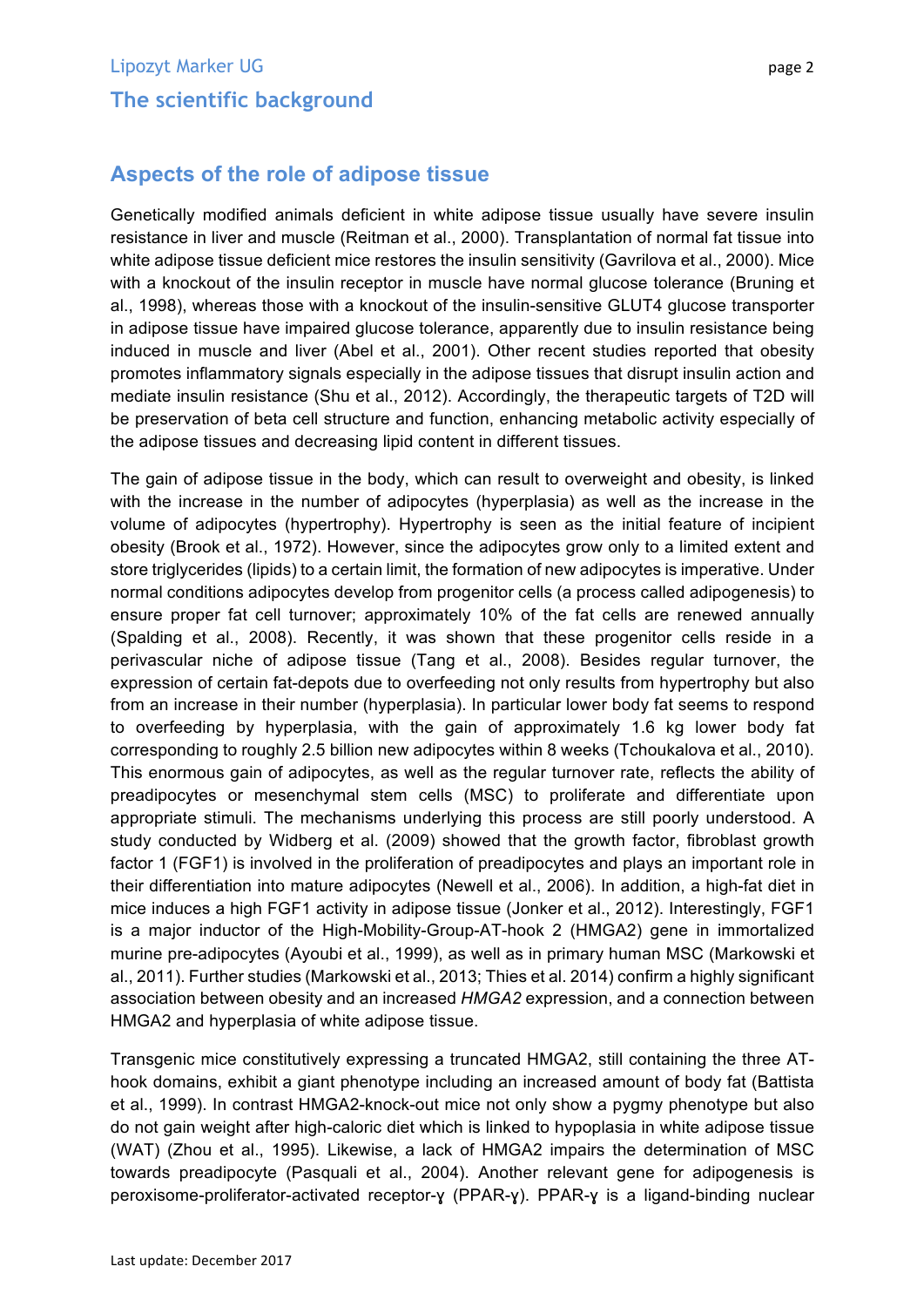## **Aspects of the role of adipose tissue**

Genetically modified animals deficient in white adipose tissue usually have severe insulin resistance in liver and muscle (Reitman et al., 2000). Transplantation of normal fat tissue into white adipose tissue deficient mice restores the insulin sensitivity (Gavrilova et al., 2000). Mice with a knockout of the insulin receptor in muscle have normal glucose tolerance (Bruning et al., 1998), whereas those with a knockout of the insulin-sensitive GLUT4 glucose transporter in adipose tissue have impaired glucose tolerance, apparently due to insulin resistance being induced in muscle and liver (Abel et al., 2001). Other recent studies reported that obesity promotes inflammatory signals especially in the adipose tissues that disrupt insulin action and mediate insulin resistance (Shu et al., 2012). Accordingly, the therapeutic targets of T2D will be preservation of beta cell structure and function, enhancing metabolic activity especially of the adipose tissues and decreasing lipid content in different tissues.

The gain of adipose tissue in the body, which can result to overweight and obesity, is linked with the increase in the number of adipocytes (hyperplasia) as well as the increase in the volume of adipocytes (hypertrophy). Hypertrophy is seen as the initial feature of incipient obesity (Brook et al., 1972). However, since the adipocytes grow only to a limited extent and store triglycerides (lipids) to a certain limit, the formation of new adipocytes is imperative. Under normal conditions adipocytes develop from progenitor cells (a process called adipogenesis) to ensure proper fat cell turnover; approximately 10% of the fat cells are renewed annually (Spalding et al., 2008). Recently, it was shown that these progenitor cells reside in a perivascular niche of adipose tissue (Tang et al., 2008). Besides regular turnover, the expression of certain fat-depots due to overfeeding not only results from hypertrophy but also from an increase in their number (hyperplasia). In particular lower body fat seems to respond to overfeeding by hyperplasia, with the gain of approximately 1.6 kg lower body fat corresponding to roughly 2.5 billion new adipocytes within 8 weeks (Tchoukalova et al., 2010). This enormous gain of adipocytes, as well as the regular turnover rate, reflects the ability of preadipocytes or mesenchymal stem cells (MSC) to proliferate and differentiate upon appropriate stimuli. The mechanisms underlying this process are still poorly understood. A study conducted by Widberg et al. (2009) showed that the growth factor, fibroblast growth factor 1 (FGF1) is involved in the proliferation of preadipocytes and plays an important role in their differentiation into mature adipocytes (Newell et al., 2006). In addition, a high-fat diet in mice induces a high FGF1 activity in adipose tissue (Jonker et al., 2012). Interestingly, FGF1 is a major inductor of the High-Mobility-Group-AT-hook 2 (HMGA2) gene in immortalized murine pre-adipocytes (Ayoubi et al., 1999), as well as in primary human MSC (Markowski et al., 2011). Further studies (Markowski et al., 2013; Thies et al. 2014) confirm a highly significant association between obesity and an increased *HMGA2* expression, and a connection between HMGA2 and hyperplasia of white adipose tissue.

Transgenic mice constitutively expressing a truncated HMGA2, still containing the three AThook domains, exhibit a giant phenotype including an increased amount of body fat (Battista et al., 1999). In contrast HMGA2-knock-out mice not only show a pygmy phenotype but also do not gain weight after high-caloric diet which is linked to hypoplasia in white adipose tissue (WAT) (Zhou et al., 1995). Likewise, a lack of HMGA2 impairs the determination of MSC towards preadipocyte (Pasquali et al., 2004). Another relevant gene for adipogenesis is peroxisome-proliferator-activated receptor-ɣ (PPAR-ɣ). PPAR-ɣ is a ligand-binding nuclear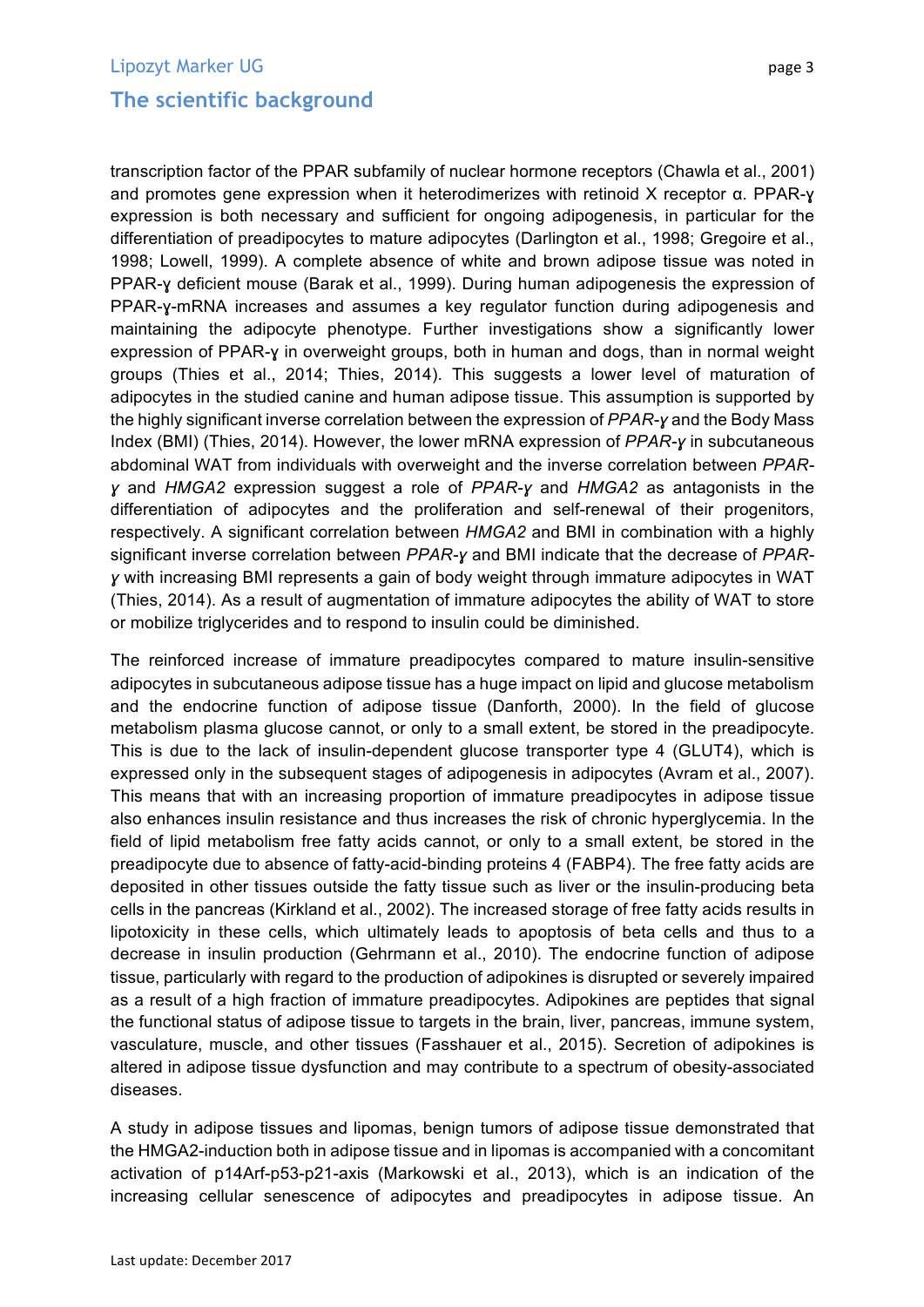transcription factor of the PPAR subfamily of nuclear hormone receptors (Chawla et al., 2001) and promotes gene expression when it heterodimerizes with retinoid X receptor α. PPAR-ɣ expression is both necessary and sufficient for ongoing adipogenesis, in particular for the differentiation of preadipocytes to mature adipocytes (Darlington et al., 1998; Gregoire et al., 1998; Lowell, 1999). A complete absence of white and brown adipose tissue was noted in PPAR-y deficient mouse (Barak et al., 1999). During human adipogenesis the expression of PPAR-ɣ-mRNA increases and assumes a key regulator function during adipogenesis and maintaining the adipocyte phenotype. Further investigations show a significantly lower expression of PPAR-ɣ in overweight groups, both in human and dogs, than in normal weight groups (Thies et al., 2014; Thies, 2014). This suggests a lower level of maturation of adipocytes in the studied canine and human adipose tissue. This assumption is supported by the highly significant inverse correlation between the expression of *PPAR-ɣ* and the Body Mass Index (BMI) (Thies, 2014). However, the lower mRNA expression of *PPAR-ɣ* in subcutaneous abdominal WAT from individuals with overweight and the inverse correlation between *PPARɣ* and *HMGA2* expression suggest a role of *PPAR-ɣ* and *HMGA2* as antagonists in the differentiation of adipocytes and the proliferation and self-renewal of their progenitors, respectively. A significant correlation between *HMGA2* and BMI in combination with a highly significant inverse correlation between *PPAR-ɣ* and BMI indicate that the decrease of *PPARɣ* with increasing BMI represents a gain of body weight through immature adipocytes in WAT (Thies, 2014). As a result of augmentation of immature adipocytes the ability of WAT to store or mobilize triglycerides and to respond to insulin could be diminished.

The reinforced increase of immature preadipocytes compared to mature insulin-sensitive adipocytes in subcutaneous adipose tissue has a huge impact on lipid and glucose metabolism and the endocrine function of adipose tissue (Danforth, 2000). In the field of glucose metabolism plasma glucose cannot, or only to a small extent, be stored in the preadipocyte. This is due to the lack of insulin-dependent glucose transporter type 4 (GLUT4), which is expressed only in the subsequent stages of adipogenesis in adipocytes (Avram et al., 2007). This means that with an increasing proportion of immature preadipocytes in adipose tissue also enhances insulin resistance and thus increases the risk of chronic hyperglycemia. In the field of lipid metabolism free fatty acids cannot, or only to a small extent, be stored in the preadipocyte due to absence of fatty-acid-binding proteins 4 (FABP4). The free fatty acids are deposited in other tissues outside the fatty tissue such as liver or the insulin-producing beta cells in the pancreas (Kirkland et al., 2002). The increased storage of free fatty acids results in lipotoxicity in these cells, which ultimately leads to apoptosis of beta cells and thus to a decrease in insulin production (Gehrmann et al., 2010). The endocrine function of adipose tissue, particularly with regard to the production of adipokines is disrupted or severely impaired as a result of a high fraction of immature preadipocytes. Adipokines are peptides that signal the functional status of adipose tissue to targets in the brain, liver, pancreas, immune system, vasculature, muscle, and other tissues (Fasshauer et al., 2015). Secretion of adipokines is altered in adipose tissue dysfunction and may contribute to a spectrum of obesity-associated diseases.

A study in adipose tissues and lipomas, benign tumors of adipose tissue demonstrated that the HMGA2-induction both in adipose tissue and in lipomas is accompanied with a concomitant activation of p14Arf-p53-p21-axis (Markowski et al., 2013), which is an indication of the increasing cellular senescence of adipocytes and preadipocytes in adipose tissue. An